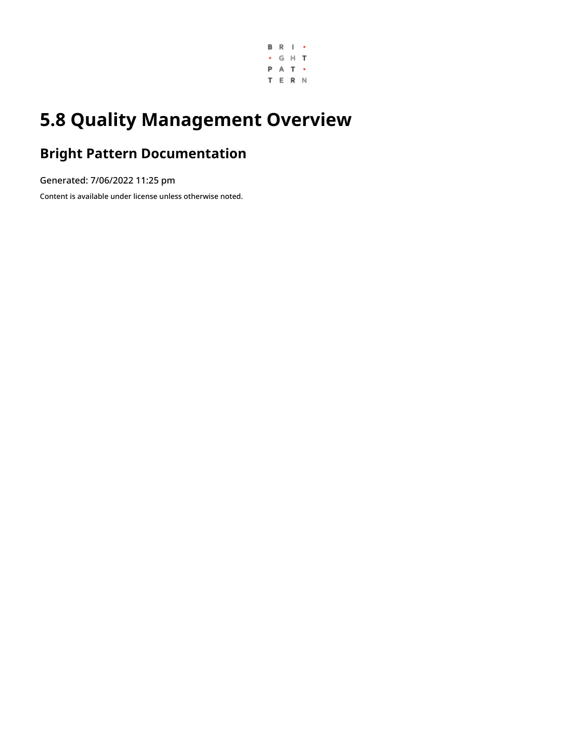

# **5.8 Quality Management Overview**

# **Bright Pattern Documentation**

Generated: 7/06/2022 11:25 pm

Content is available under license unless otherwise noted.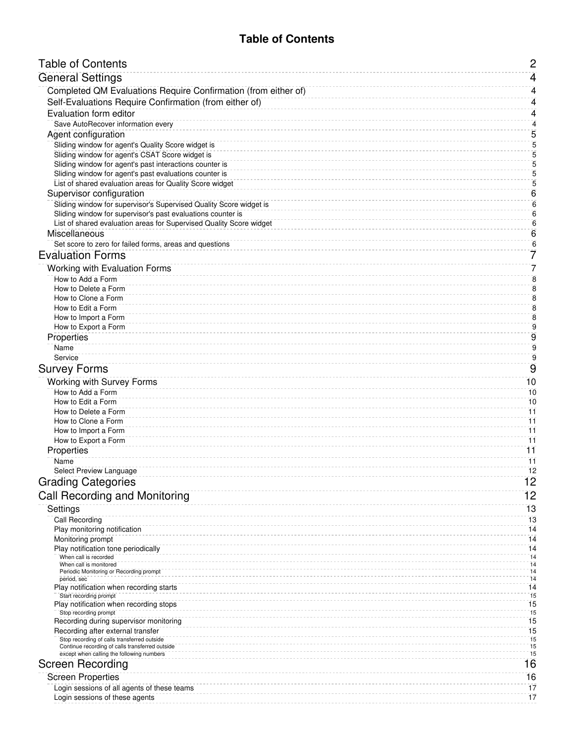# **Table of Contents**

<span id="page-1-0"></span>

| <b>Table of Contents</b>                                                                              | $\mathbf{2}$                       |
|-------------------------------------------------------------------------------------------------------|------------------------------------|
| <b>General Settings</b>                                                                               | $\overline{4}$                     |
| Completed QM Evaluations Require Confirmation (from either of)                                        | 4                                  |
| Self-Evaluations Require Confirmation (from either of)                                                | 4                                  |
| Evaluation form editor                                                                                | 4                                  |
| Save AutoRecover information every                                                                    | 4                                  |
| Agent configuration                                                                                   | 5                                  |
| Sliding window for agent's Quality Score widget is<br>Sliding window for agent's CSAT Score widget is | 5<br>5                             |
| Sliding window for agent's past interactions counter is                                               | 5                                  |
| Sliding window for agent's past evaluations counter is                                                | $\overline{5}$                     |
| List of shared evaluation areas for Quality Score widget                                              | 5                                  |
| Supervisor configuration<br>Sliding window for supervisor's Supervised Quality Score widget is        | 6                                  |
| Sliding window for supervisor's past evaluations counter is                                           | 6<br>6                             |
| List of shared evaluation areas for Supervised Quality Score widget                                   | $\,6$                              |
| Miscellaneous                                                                                         | $6\phantom{1}6$                    |
| Set score to zero for failed forms, areas and questions                                               | $\overline{6}$                     |
| <b>Evaluation Forms</b>                                                                               | 7                                  |
| Working with Evaluation Forms                                                                         | 7                                  |
| How to Add a Form<br>How to Delete a Form                                                             | $\overline{8}$                     |
| How to Clone a Form                                                                                   | 8<br>$\overline{\mathbf{8}}$       |
| How to Edit a Form                                                                                    | $\bf 8$                            |
| How to Import a Form                                                                                  | $\bf 8$                            |
| How to Export a Form                                                                                  | $\mathbf 9$<br>9                   |
| Properties<br>Name                                                                                    | $\overline{9}$                     |
| Service                                                                                               | $\overline{9}$                     |
| <b>Survey Forms</b>                                                                                   | $\overline{9}$                     |
| Working with Survey Forms                                                                             | 10                                 |
| How to Add a Form                                                                                     | 10                                 |
| How to Edit a Form                                                                                    | 10                                 |
| How to Delete a Form<br>How to Clone a Form                                                           | $\overline{11}$<br>$\overline{11}$ |
| How to Import a Form                                                                                  | $\overline{11}$                    |
| How to Export a Form                                                                                  | 11                                 |
| Properties                                                                                            | 11                                 |
| Name<br>Select Preview Language                                                                       | 11<br>12                           |
| <b>Grading Categories</b>                                                                             | 12                                 |
| <b>Call Recording and Monitoring</b>                                                                  | 12                                 |
| Settings                                                                                              | 13                                 |
| Call Recording                                                                                        | 13                                 |
| Play monitoring notification                                                                          | 14                                 |
| Monitoring prompt                                                                                     | 14                                 |
| Play notification tone periodically<br>When call is recorded                                          | 14<br>14                           |
| When call is monitored                                                                                | 14<br>14                           |
| Periodic Monitoring or Recording prompt<br>period, sec                                                | 14                                 |
| Play notification when recording starts                                                               | 14<br>15                           |
| Start recording prompt<br>Play notification when recording stops                                      | $\overline{15}$                    |
| Stop recording prompt                                                                                 | 15                                 |
| Recording during supervisor monitoring<br>Recording after external transfer                           | $\overline{15}$<br>15              |
| Stop recording of calls transferred outside                                                           | 15                                 |
| Continue recording of calls transferred outside<br>except when calling the following numbers          | 15<br>15                           |
| <b>Screen Recording</b>                                                                               | 16                                 |
| <b>Screen Properties</b>                                                                              | 16                                 |
| Login sessions of all agents of these teams                                                           | 17                                 |
| Login sessions of these agents                                                                        | 17                                 |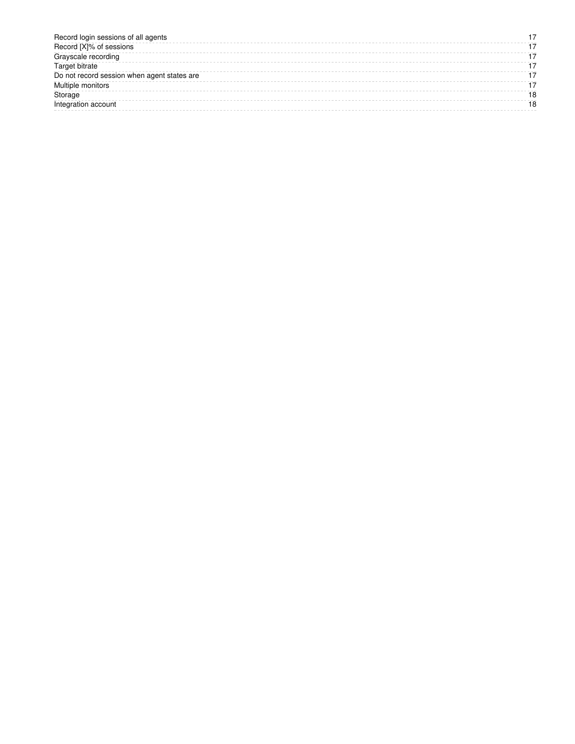| Record login sessions of all agents         |    |
|---------------------------------------------|----|
| Record [X]% of sessions                     |    |
| Grayscale recording                         |    |
| <b>Target bitrate</b>                       |    |
| Do not record session when agent states are |    |
| Multiple monitors                           |    |
| Storage                                     |    |
| Integration account                         | 18 |
|                                             |    |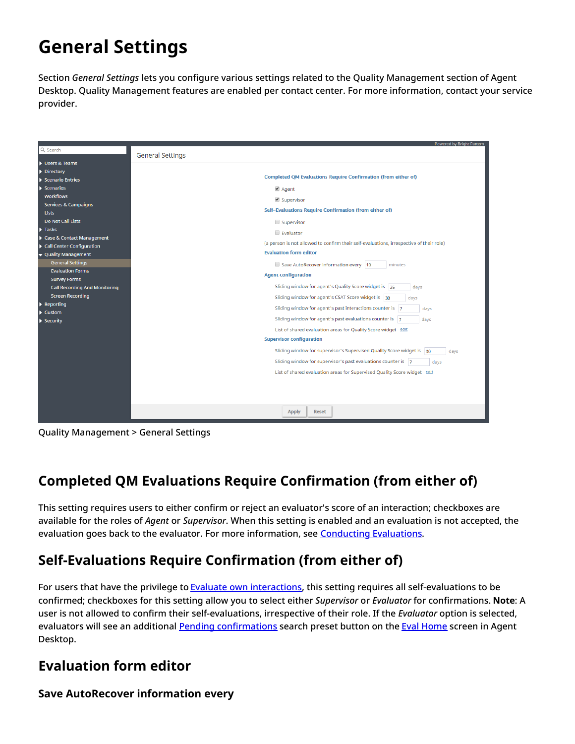# <span id="page-3-0"></span>**General Settings**

Section *General Settings* lets you configure various settings related to the Quality Management section of Agent Desktop. Quality Management features are enabled per contact center. For more information, contact your service provider.

|                                                    | Powered by Bright Pattern                                                               |
|----------------------------------------------------|-----------------------------------------------------------------------------------------|
| Q Search                                           | <b>General Settings</b>                                                                 |
| Users & Teams                                      |                                                                                         |
| Directory                                          |                                                                                         |
| Scenario Entries                                   | <b>Completed QM Evaluations Require Confirmation (from either of)</b>                   |
| Scenarios                                          | ■ Agent                                                                                 |
| <b>Workflows</b>                                   | ■ Supervisor                                                                            |
| Services & Campaigns                               | Self-Evaluations Require Confirmation (from either of)                                  |
| <b>Lists</b>                                       |                                                                                         |
| Do Not Call Lists                                  | Supervisor                                                                              |
| $\blacktriangleright$ Tasks                        | Evaluator                                                                               |
| Case & Contact Management                          | (a person is not allowed to confirm their self-evaluations, irrespective of their role) |
| Call Center Configuration                          | <b>Evaluation form editor</b>                                                           |
| ▼ Quality Management                               |                                                                                         |
| <b>General Settings</b><br><b>Evaluation Forms</b> | Save AutoRecover information every 10<br>minutes                                        |
| <b>Survey Forms</b>                                | <b>Agent configuration</b>                                                              |
| <b>Call Recording And Monitoring</b>               | Sliding window for agent's Quality Score widget is 25<br>days                           |
| <b>Screen Recording</b>                            | Sliding window for agent's CSAT Score widget is 30<br>days                              |
| $\blacktriangleright$ Reporting                    |                                                                                         |
| Custom                                             | Sliding window for agent's past interactions counter is 7<br>days                       |
| Security                                           | Sliding window for agent's past evaluations counter is 7<br>days                        |
|                                                    | List of shared evaluation areas for Quality Score widget edit                           |
|                                                    | <b>Supervisor configuration</b>                                                         |
|                                                    | Sliding window for supervisor's Supervised Quality Score widget is 30<br>days           |
|                                                    | Sliding window for supervisor's past evaluations counter is 7<br>days                   |
|                                                    | List of shared evaluation areas for Supervised Quality Score widget edit                |
|                                                    |                                                                                         |
|                                                    |                                                                                         |
|                                                    |                                                                                         |
|                                                    | <b>Apply</b><br><b>Reset</b>                                                            |

Quality Management > General Settings

# <span id="page-3-1"></span>**Completed QM Evaluations Require Confirmation (from either of)**

This setting requires users to either confirm or reject an evaluator's score of an interaction; checkboxes are available for the roles of *Agent* or *Supervisor*. When this setting is enabled and an evaluation is not accepted, the evaluation goes back to the evaluator. For more information, see [Conducting](https://help.brightpattern.com/5.8:QM/EvalConsole/ConductingEvaluations#All_Evals) Evaluations.

# <span id="page-3-2"></span>**Self-Evaluations Require Confirmation (from either of)**

For users that have the privilege to Evaluate own [interactions](https://help.brightpattern.com/5.8:Contact-center-administrator-guide/UsersandTeams/Privileges#Evaluate_own_interactions), this setting requires all self-evaluations to be confirmed; checkboxes for this setting allow you to select either *Supervisor* or *Evaluator* for confirmations. **Note**: A user is not allowed to confirm their self-evaluations, irrespective of their role. If the *Evaluator* option is selected, evaluators will see an additional Pending [confirmations](https://help.brightpattern.com/5.8:QM/EvalHome/Overview#Pending_confirmations) search preset button on the Eval [Home](https://help.brightpattern.com/5.8:Contact-center-administrator-guide/QualityManagement/Overview/?action=html-localimages-export#topic_qm.2Fevalhome.2Foverview) screen in Agent Desktop.

# <span id="page-3-3"></span>**Evaluation form editor**

## <span id="page-3-4"></span>**Save AutoRecover information every**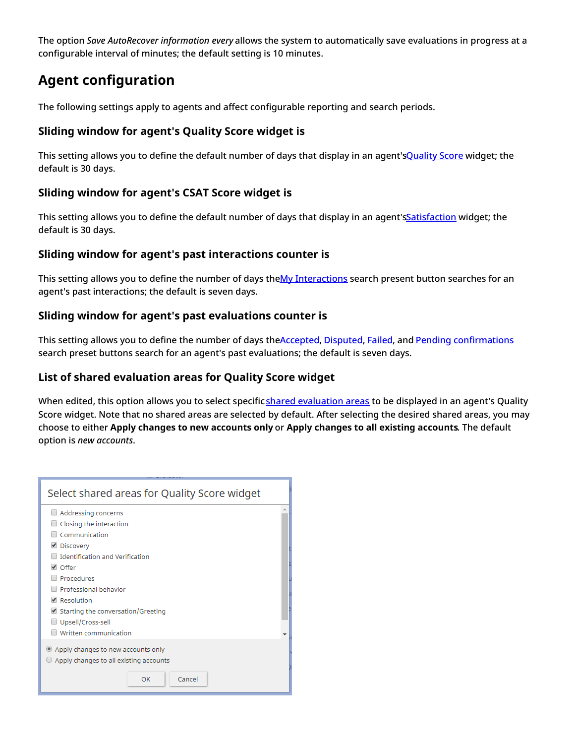The option *Save AutoRecover information every* allows the system to automatically save evaluations in progress at a configurable interval of minutes; the default setting is 10 minutes.

# <span id="page-4-0"></span>**Agent configuration**

The following settings apply to agents and affect configurable reporting and search periods.

## <span id="page-4-1"></span>**Sliding window for agent's Quality Score widget is**

This setting allows you to define the default number of days that display in an agent's Quality Score widget; the default is 30 days.

## <span id="page-4-2"></span>**Sliding window for agent's CSAT Score widget is**

This setting allows you to define the default number of days that display in an agent'[sSatisfaction](https://help.brightpattern.com/5.8:Agent-guide/Work/HomePage/Widgets#Satisfaction) widget; the default is 30 days.

## <span id="page-4-3"></span>**Sliding window for agent's past interactions counter is**

This setting allows you to define the number of days theMy [Interactions](https://help.brightpattern.com/5.8:QM/EvalHome/Overview#My_Interactions) search present button searches for an agent's past interactions; the default is seven days.

## <span id="page-4-4"></span>**Sliding window for agent's past evaluations counter is**

This setting allows you to define the number of days th[eAccepted](https://help.brightpattern.com/5.8:QM/EvalHome/Overview#Accepted), [Disputed](https://help.brightpattern.com/5.8:QM/EvalHome/Overview#Disputed), [Failed](https://help.brightpattern.com/5.8:QM/EvalHome/Overview#Failed), and Pending [confirmations](https://help.brightpattern.com/5.8:QM/EvalHome/Overview#Pending_confirmations) search preset buttons search for an agent's past evaluations; the default is seven days.

## <span id="page-4-5"></span>**List of shared evaluation areas for Quality Score widget**

When edited, this option allows you to select specificshared [evaluation](https://help.brightpattern.com/5.8:QM/EvaluationForms/Areas#Share_the_area_to_report_across_other_forms) areas to be displayed in an agent's Quality Score widget. Note that no shared areas are selected by default. After selecting the desired shared areas, you may choose to either **Apply changes to new accounts only** or **Apply changes to all existing accounts**. The default option is *new accounts*.

| Select shared areas for Quality Score widget                                                                                                                                                                                                                                      |  |  |
|-----------------------------------------------------------------------------------------------------------------------------------------------------------------------------------------------------------------------------------------------------------------------------------|--|--|
| Addressing concerns<br>Closing the interaction<br>Communication<br>└ Discovery<br><b>Identification and Verification</b><br>$\vee$ Offer<br>Procedures<br>Professional behavior<br>Resolution<br>Starting the conversation/Greeting<br>Upsell/Cross-sell<br>Written communication |  |  |
| Apply changes to new accounts only<br>Apply changes to all existing accounts<br>Cancel<br>OK                                                                                                                                                                                      |  |  |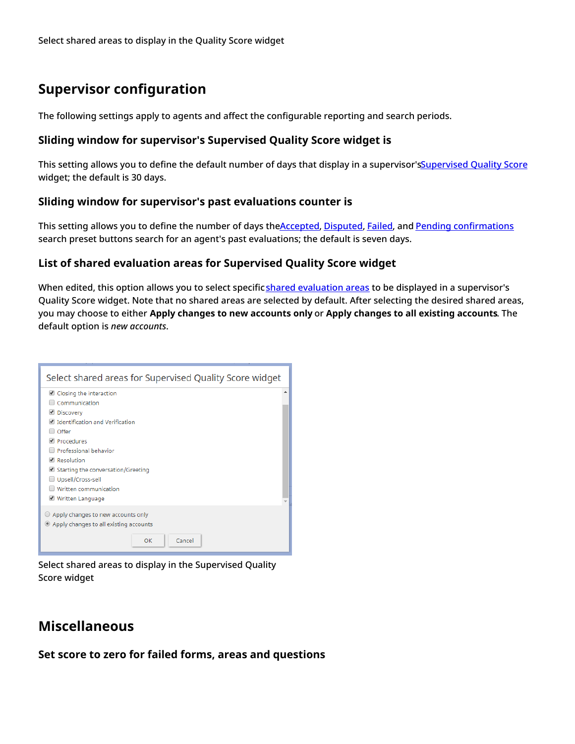# <span id="page-5-0"></span>**Supervisor configuration**

The following settings apply to agents and affect the configurable reporting and search periods.

#### <span id="page-5-1"></span>**Sliding window for supervisor's Supervised Quality Score widget is**

This setting allows you to define the default number of days that display in a supervisor's Supervised Quality Score widget; the default is 30 days.

#### <span id="page-5-2"></span>**Sliding window for supervisor's past evaluations counter is**

This setting allows you to define the number of days th[eAccepted](https://help.brightpattern.com/5.8:QM/EvalHome/Overview#Accepted), [Disputed](https://help.brightpattern.com/5.8:QM/EvalHome/Overview#Disputed), [Failed](https://help.brightpattern.com/5.8:QM/EvalHome/Overview#Failed), and Pending [confirmations](https://help.brightpattern.com/5.8:QM/EvalHome/Overview#Pending_confirmations) search preset buttons search for an agent's past evaluations; the default is seven days.

#### <span id="page-5-3"></span>**List of shared evaluation areas for Supervised Quality Score widget**

When edited, this option allows you to select specificshared [evaluation](https://help.brightpattern.com/5.8:QM/EvaluationForms/Areas#Share_the_area_to_report_across_other_forms) areas to be displayed in a supervisor's Quality Score widget. Note that no shared areas are selected by default. After selecting the desired shared areas, you may choose to either **Apply changes to new accounts only** or **Apply changes to all existing accounts**. The default option is *new accounts*.

| Select shared areas for Supervised Quality Score widget                                                                                                                                                                                                                          |  |  |
|----------------------------------------------------------------------------------------------------------------------------------------------------------------------------------------------------------------------------------------------------------------------------------|--|--|
| Closing the interaction<br>Communication<br>└ Discovery<br>d Identification and Verification<br>$\Box$ Offer<br>Procedures<br>Professional behavior<br>Resolution<br>$\Box$ Starting the conversation/Greeting<br>Upsell/Cross-sell<br>Written communication<br>Written Language |  |  |
| $\bigcirc$ Apply changes to new accounts only<br>Apply changes to all existing accounts<br>Cancel<br>OK                                                                                                                                                                          |  |  |

Select shared areas to display in the Supervised Quality Score widget

# <span id="page-5-4"></span>**Miscellaneous**

<span id="page-5-5"></span>**Set score to zero for failed forms, areas and questions**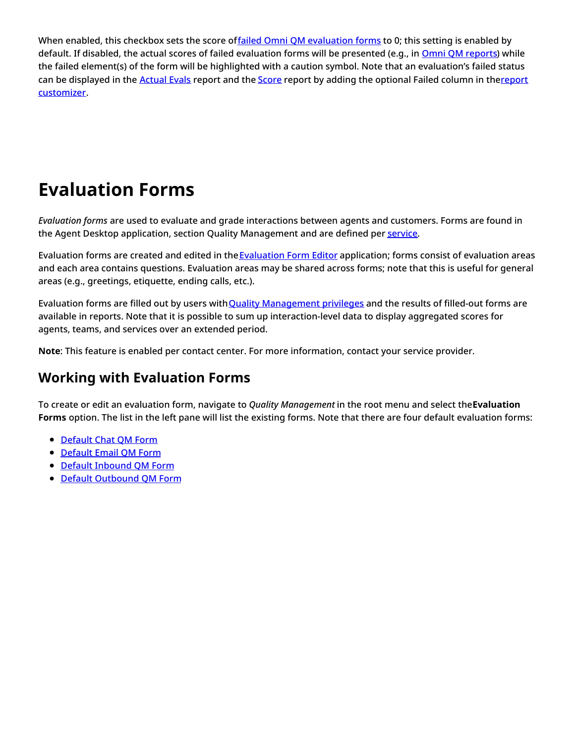When enabled, this checkbox sets the score offailed Omni QM [evaluation](https://help.brightpattern.com/5.8:QM/EvalHome/Overview#Failed) forms to 0; this setting is enabled by default. If disabled, the actual scores of failed evaluation forms will be presented (e.g., in Omni QM [reports](https://help.brightpattern.com/5.8:Contact-center-administrator-guide/QualityManagement/Overview/?action=html-localimages-export#topic_qm.2Freports.2Foverview)) while the failed element(s) of the form will be highlighted with a caution symbol. Note that an evaluation's failed status can be displayed in the [Actual](https://help.brightpattern.com/5.8:Contact-center-administrator-guide/QualityManagement/Overview/?action=html-localimages-export#topic_qm.2Freports.2Factualevals) Evals report and the [Score](https://help.brightpattern.com/5.8:Contact-center-administrator-guide/QualityManagement/Overview/?action=html-localimages-export#topic_qm.2Freports.2Fscorereport) report by adding the optional Failed column in thereport [customizer.](https://help.brightpattern.com/5.8:Reporting-reference-guide/ReportGeneration#How_to_Customize_Reports)

# <span id="page-6-0"></span>**Evaluation Forms**

*Evaluation forms* are used to evaluate and grade interactions between agents and customers. Forms are found in the Agent Desktop application, section Quality Management and are defined per [service](https://help.brightpattern.com/5.8:Contact-center-administrator-guide/QualityManagement/Overview/?action=html-localimages-export#topic_contact-center-administrator-guide.2Fservicesandcampaigns.2Fservicesandcampaignsoverview).

[Evaluation](https://help.brightpattern.com/5.8:Contact-center-administrator-guide/QualityManagement/Overview/?action=html-localimages-export#topic_qm.2Fevaluationforms.2Faboutevaluationforms) forms are created and edited in the Evaluation Form Editor application; forms consist of evaluation areas and each area contains questions. Evaluation areas may be shared across forms; note that this is useful for general areas (e.g., greetings, etiquette, ending calls, etc.).

Evaluation forms are filled out by users with Quality [Management](https://help.brightpattern.com/5.8:Contact-center-administrator-guide/UsersandTeams/Privileges#Quality_Management) privileges and the results of filled-out forms are available in reports. Note that it is possible to sum up interaction-level data to display aggregated scores for agents, teams, and services over an extended period.

**Note**: This feature is enabled per contact center. For more information, contact your service provider.

# <span id="page-6-1"></span>**Working with Evaluation Forms**

To create or edit an evaluation form, navigate to *Quality Management* in the root menu and select the**Evaluation Forms** option. The list in the left pane will list the existing forms. Note that there are four default evaluation forms:

- [Default](https://help.brightpattern.com/5.8:QM/EvaluationForms/DefaultForms#Chat_Form) Chat QM Form
- [Default](https://help.brightpattern.com/5.8:QM/EvaluationForms/DefaultForms#Email_Form) Email QM Form
- **Default [Inbound](https://help.brightpattern.com/5.8:QM/EvaluationForms/DefaultForms#Inbound_Form) QM Form**
- Default [Outbound](https://help.brightpattern.com/5.8:QM/EvaluationForms/DefaultForms#Outbound_Form) QM Form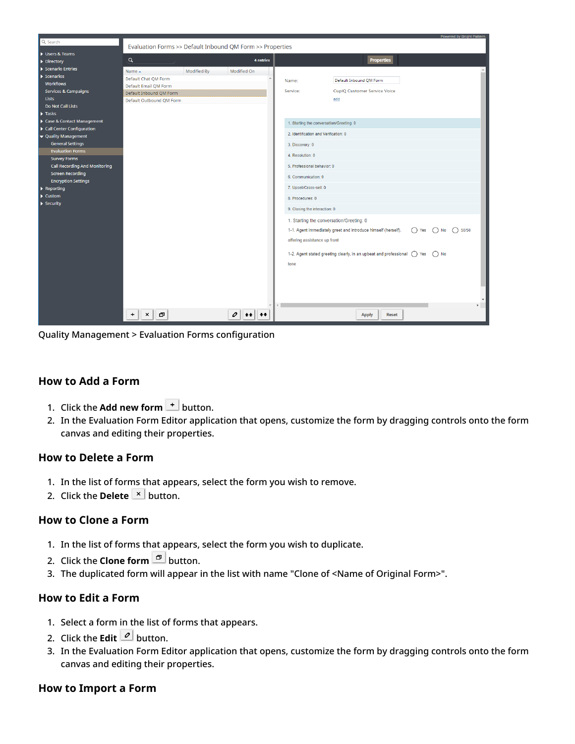

Quality Management > Evaluation Forms configuration

#### <span id="page-7-0"></span>**How to Add a Form**

- 1. Click the **Add new form**  $\overline{ }$  button.
- 2. In the Evaluation Form Editor application that opens, customize the form by dragging controls onto the form canvas and editing their properties.

#### <span id="page-7-1"></span>**How to Delete a Form**

- 1. In the list of forms that appears, select the form you wish to remove.
- 2. Click the **Delete**  $\mathbb{E}$  button.

#### <span id="page-7-2"></span>**How to Clone a Form**

- 1. In the list of forms that appears, select the form you wish to duplicate.
- 2. Click the **Clone form D** button.
- 3. The duplicated form will appear in the list with name "Clone of <Name of Original Form>".

## <span id="page-7-3"></span>**How to Edit a Form**

- 1. Select a form in the list of forms that appears.
- 2. Click the **Edit**  $\boxed{\circ}$  button.
- 3. In the Evaluation Form Editor application that opens, customize the form by dragging controls onto the form canvas and editing their properties.

#### <span id="page-7-4"></span>**How to Import a Form**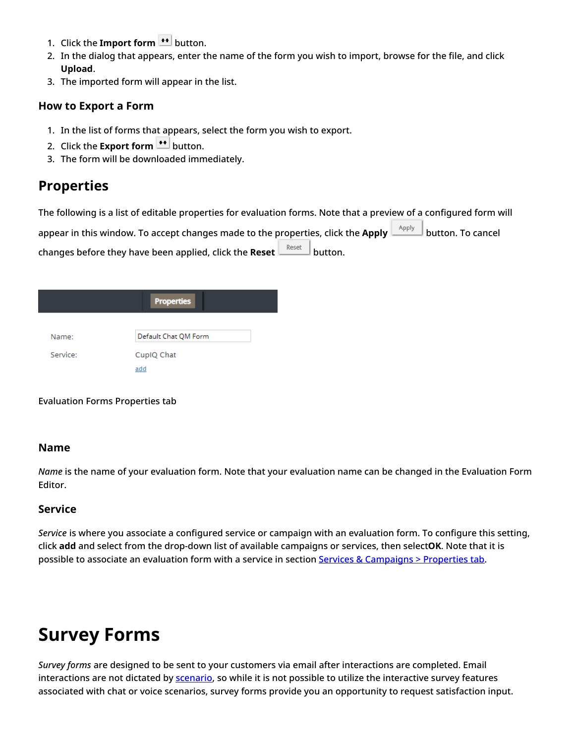- 1. Click the **Import form**  $\left| \cdot \right|$  button.
- 2. In the dialog that appears, enter the name of the form you wish to import, browse for the file, and click **Upload**.
- 3. The imported form will appear in the list.

#### <span id="page-8-0"></span>**How to Export a Form**

- 1. In the list of forms that appears, select the form you wish to export.
- 2. Click the **Export form \*\*** button.
- 3. The form will be downloaded immediately.

# <span id="page-8-1"></span>**Properties**

The following is a list of editable properties for evaluation forms. Note that a preview of a configured form will appear in this window. To accept changes made to the properties, click the Apply **Apply** button. To cancel changes before they have been applied, click the **Reset**  $\frac{\text{Reset}}{\text{H}}$  button.

|          | <b>Properties</b>    |
|----------|----------------------|
| Name:    | Default Chat QM Form |
| Service: | CupIQ Chat           |
|          | add                  |

Evaluation Forms Properties tab

#### <span id="page-8-2"></span>**Name**

*Name* is the name of your evaluation form. Note that your evaluation name can be changed in the Evaluation Form Editor.

## <span id="page-8-3"></span>**Service**

*Service* is where you associate a configured service or campaign with an evaluation form. To configure this setting, click **add** and select from the drop-down list of available campaigns or services, then select**OK**. Note that it is possible to associate an evaluation form with a service in section Services & [Campaigns](https://help.brightpattern.com/5.8:Contact-center-administrator-guide/ServicesandCampaigns/PropertiesTab#Evaluation_Forms) > Properties tab.

# <span id="page-8-4"></span>**Survey Forms**

*Survey forms* are designed to be sent to your customers via email after interactions are completed. Email interactions are not dictated by [scenario](https://help.brightpattern.com/5.8:Contact-center-administrator-guide/QualityManagement/Overview/?action=html-localimages-export#topic_contact-center-administrator-guide.2Fscenariosoverview), so while it is not possible to utilize the interactive survey features associated with chat or voice scenarios, survey forms provide you an opportunity to request satisfaction input.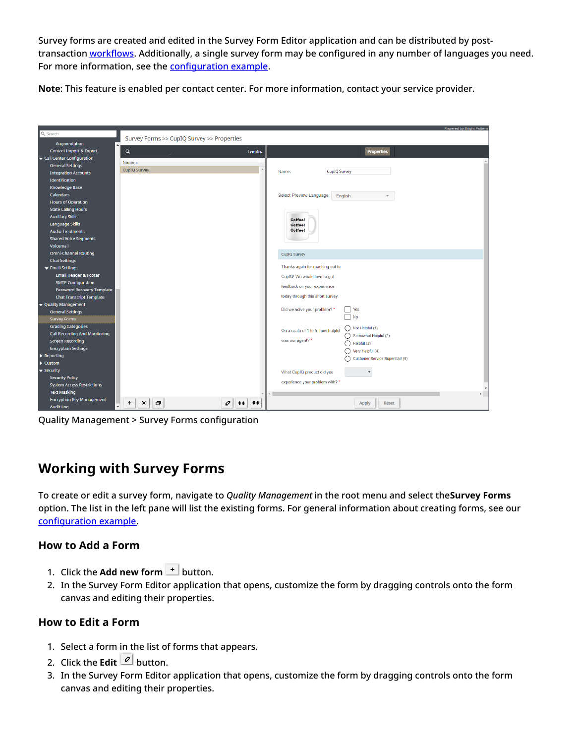Survey forms are created and edited in the Survey Form Editor application and can be distributed by posttransaction [workflows](https://help.brightpattern.com/5.8:Contact-center-administrator-guide/QualityManagement/Overview/?action=html-localimages-export#topic_contact-center-administrator-guide.2Fworkflowentries). Additionally, a single survey form may be configured in any number of languages you need. For more information, see the [configuration](https://help.brightpattern.com/5.8:Contact-center-administrator-guide/QualityManagement/Overview/?action=html-localimages-export#topic_workflow-builder-reference-guide.2Fhowtosolicitpost-transactionalsurveysviaemail) example.

**Note**: This feature is enabled per contact center. For more information, contact your service provider.

|                                                               |                                            | <b>Powered by Bright Pattern</b>                               |
|---------------------------------------------------------------|--------------------------------------------|----------------------------------------------------------------|
| Q Search                                                      | Survey Forms >> CupIQ Survey >> Properties |                                                                |
| Augmentation                                                  |                                            |                                                                |
| <b>Contact Import &amp; Export</b>                            | Q<br>1 entries                             | <b>Properties</b>                                              |
| Gall Center Configuration                                     | Name $\triangle$                           |                                                                |
| <b>General Settings</b>                                       | CupIQ Survey                               |                                                                |
| <b>Integration Accounts</b>                                   |                                            | <b>CupIQ Survey</b><br>Name:                                   |
| <b>Identification</b>                                         |                                            |                                                                |
| <b>Knowledge Base</b>                                         |                                            |                                                                |
| <b>Calendars</b>                                              |                                            | Select Preview Language:<br>English                            |
| <b>Hours of Operation</b>                                     |                                            |                                                                |
| <b>State Calling Hours</b>                                    |                                            |                                                                |
| <b>Auxiliary Skills</b>                                       |                                            | <b>Coffee!</b>                                                 |
| Language Skills                                               |                                            | Coffeel                                                        |
| <b>Audio Treatments</b>                                       |                                            | <b>Coffee!</b>                                                 |
| <b>Shared Voice Segments</b>                                  |                                            |                                                                |
| Voicemail                                                     |                                            |                                                                |
| <b>Omni-Channel Routing</b>                                   |                                            | CupIQ Survey                                                   |
| <b>Chat Settings</b>                                          |                                            | Thanks again for reaching out to                               |
| Email Settings                                                |                                            |                                                                |
| <b>Email Header &amp; Footer</b>                              |                                            | CupIQ! We would love to get                                    |
| <b>SMTP Configuration</b>                                     |                                            | feedback on your experience                                    |
| Password Recovery Template<br><b>Chat Transcript Template</b> |                                            | today through this short survey.                               |
|                                                               |                                            |                                                                |
| ▼ Quality Management<br><b>General Settings</b>               |                                            | Did we solve your problem? *<br>Yes                            |
| <b>Survey Forms</b>                                           |                                            | N <sub>0</sub>                                                 |
| <b>Grading Categories</b>                                     |                                            |                                                                |
| <b>Call Recording And Monitoring</b>                          |                                            | $\bigcap$ Not Helpful (1)<br>On a scale of 1 to 5, how helpful |
| <b>Screen Recording</b>                                       |                                            | Somewhat Helpful (2)<br>was our agent? *                       |
| <b>Encryption Settings</b>                                    |                                            | $\bigcap$ Helpful (3)                                          |
| $\blacktriangleright$ Reporting                               |                                            | $\bigcap$ Very Helpful (4)                                     |
| $\blacktriangleright$ Custom                                  |                                            | ∩<br>Customer Service Superstar! (5)                           |
| $\blacktriangledown$ Security                                 |                                            | What CupIQ product did you<br>$\boldsymbol{\mathrm{v}}$        |
| <b>Security Policy</b>                                        |                                            |                                                                |
| <b>System Access Restrictions</b>                             |                                            | experience your problem with? *                                |
| <b>Text Masking</b>                                           |                                            | $\mathbf{r}$                                                   |
| <b>Encryption Key Management</b>                              | o<br>0<br>$\ddot{}$                        | Reset                                                          |
| <b>Audit Log</b>                                              | ×<br>$\bullet\bullet$<br>合合                | Apply                                                          |

Quality Management > Survey Forms configuration

# <span id="page-9-0"></span>**Working with Survey Forms**

To create or edit a survey form, navigate to *Quality Management* in the root menu and select the**Survey Forms** option. The list in the left pane will list the existing forms. For general information about creating forms, see our [configuration](https://help.brightpattern.com/5.8:Contact-center-administrator-guide/QualityManagement/Overview/?action=html-localimages-export#topic_workflow-builder-reference-guide.2Fhowtosolicitpost-transactionalsurveysviaemail) example.

## <span id="page-9-1"></span>**How to Add a Form**

- 1. Click the **Add new form**  $\pm$  button.
- 2. In the Survey Form Editor application that opens, customize the form by dragging controls onto the form canvas and editing their properties.

#### <span id="page-9-2"></span>**How to Edit a Form**

- 1. Select a form in the list of forms that appears.
- 2. Click the **Edit**  $\boxed{\text{2}}$  button.
- 3. In the Survey Form Editor application that opens, customize the form by dragging controls onto the form canvas and editing their properties.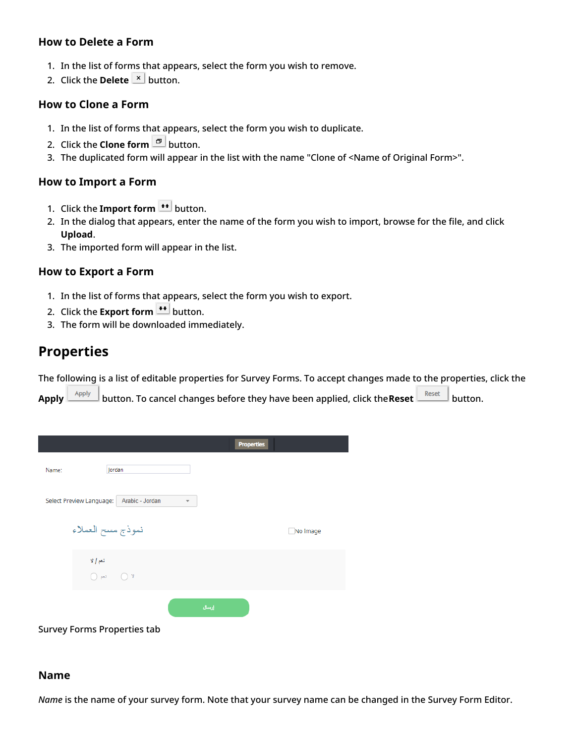#### <span id="page-10-0"></span>**How to Delete a Form**

- 1. In the list of forms that appears, select the form you wish to remove.
- 2. Click the **Delete**  $\vert x \vert$  button.

#### <span id="page-10-1"></span>**How to Clone a Form**

- 1. In the list of forms that appears, select the form you wish to duplicate.
- 2. Click the **Clone form P** button.
- 3. The duplicated form will appear in the list with the name "Clone of <Name of Original Form>".

#### <span id="page-10-2"></span>**How to Import a Form**

- 1. Click the **Import form <sup>++</sup>** button.
- 2. In the dialog that appears, enter the name of the form you wish to import, browse for the file, and click **Upload**.
- 3. The imported form will appear in the list.

#### <span id="page-10-3"></span>**How to Export a Form**

- 1. In the list of forms that appears, select the form you wish to export.
- 2. Click the **Export form**  $\leftarrow$  button.
- 3. The form will be downloaded immediately.

# <span id="page-10-4"></span>**Properties**

The following is a list of editable properties for Survey Forms. To accept changes made to the properties, click the

Apply  $\boxed{\phantom{\qquad}\text{Apply}}$  button. To cancel changes before they have been applied, click the **Reset**  $\boxed{\phantom{\qquad}\text{Rest}}$  button.



#### <span id="page-10-5"></span>**Name**

*Name* is the name of your survey form. Note that your survey name can be changed in the Survey Form Editor.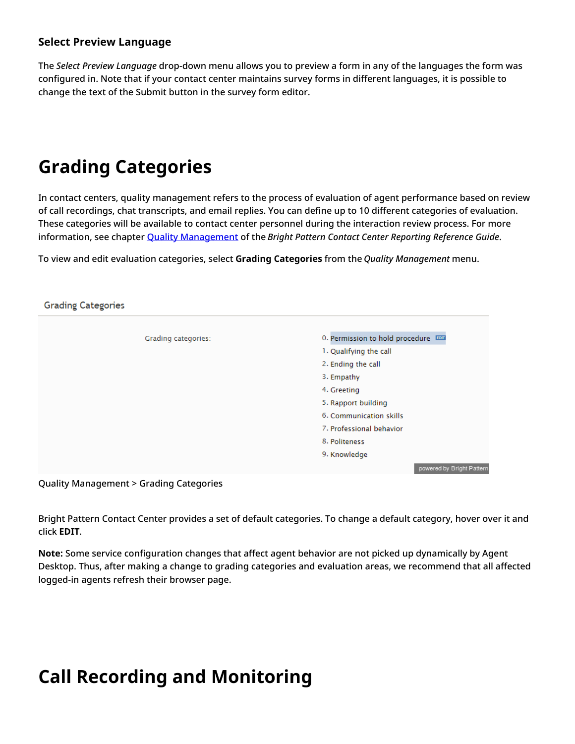## <span id="page-11-0"></span>**Select Preview Language**

The *Select Preview Language* drop-down menu allows you to preview a form in any of the languages the form was configured in. Note that if your contact center maintains survey forms in different languages, it is possible to change the text of the Submit button in the survey form editor.

# <span id="page-11-1"></span>**Grading Categories**

In contact centers, quality management refers to the process of evaluation of agent performance based on review of call recordings, chat transcripts, and email replies. You can define up to 10 different categories of evaluation. These categories will be available to contact center personnel during the interaction review process. For more information, see chapter Quality [Management](https://help.brightpattern.com/5.8:Contact-center-administrator-guide/QualityManagement/Overview/?action=html-localimages-export#topic_reporting-reference-guide.2Fgeneralinformationaboutqualitymanagement) of the *Bright Pattern Contact Center Reporting Reference Guide*.

To view and edit evaluation categories, select **Grading Categories** from the *Quality Management* menu.

## **Grading Categories** Grading categories: 0. Permission to hold procedure EDT 1. Qualifying the call 2. Ending the call 3. Empathy 4. Greetina 5. Rapport building 6. Communication skills 7. Professional behavior 8. Politeness 9. Knowledge powered by Bright Pattern

Quality Management > Grading Categories

Bright Pattern Contact Center provides a set of default categories. To change a default category, hover over it and click **EDIT**.

**Note:** Some service configuration changes that affect agent behavior are not picked up dynamically by Agent Desktop. Thus, after making a change to grading categories and evaluation areas, we recommend that all affected logged-in agents refresh their browser page.

# <span id="page-11-2"></span>**Call Recording and Monitoring**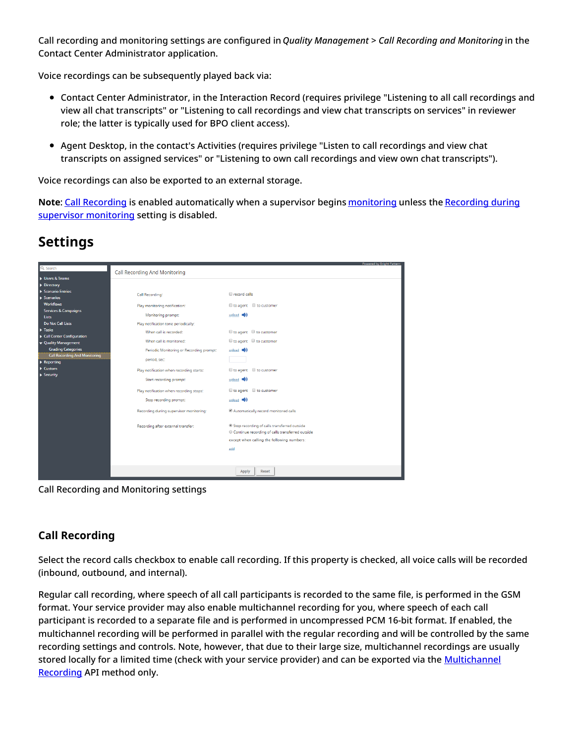Call recording and monitoring settings are configured in *Quality Management > Call Recording and Monitoring* in the Contact Center Administrator application.

Voice recordings can be subsequently played back via:

- Contact Center Administrator, in the Interaction Record (requires privilege "Listening to all call recordings and view all chat transcripts" or "Listening to call recordings and view chat transcripts on services" in reviewer role; the latter is typically used for BPO client access).
- Agent Desktop, in the contact's Activities (requires privilege "Listen to call recordings and view chat transcripts on assigned services" or "Listening to own call recordings and view own chat transcripts").

Voice recordings can also be exported to an external storage.

**Note**: Call [Recording](https://help.brightpattern.com/5.8:Contact-center-administrator-guide/QualityManagement/Overview/?action=html-localimages-export#CallRecording) is enabled [automatically](https://help.brightpattern.com/5.8:Contact-center-administrator-guide/QualityManagement/CallRecording#Recording_during_supervisor_monitoring) when a supervisor begins [monitoring](https://help.brightpattern.com/5.8:Contact-center-administrator-guide/QualityManagement/Overview/?action=html-localimages-export#topic_supervisor-guide.2Fcallmonitoring.2Ccoachingandbarge-in) unless the Recording during supervisor monitoring setting is disabled.

# <span id="page-12-0"></span>**Settings**

| Q Search                                                 |                                          | <b>Powered by Bright Pattern</b>                                                                                                               |
|----------------------------------------------------------|------------------------------------------|------------------------------------------------------------------------------------------------------------------------------------------------|
|                                                          | <b>Call Recording And Monitoring</b>     |                                                                                                                                                |
| Users & Teams                                            |                                          |                                                                                                                                                |
| Directory                                                |                                          |                                                                                                                                                |
| Scenario Entries                                         | Call Recording:                          | <b>El record calls</b>                                                                                                                         |
| $\blacktriangleright$ Scenarios                          |                                          |                                                                                                                                                |
| <b>Workflows</b>                                         | Play monitoring notification:            | I to agent I to customer                                                                                                                       |
| <b>Services &amp; Campaigns</b>                          | Monitoring prompt:                       | upload (i)                                                                                                                                     |
| Lists                                                    |                                          |                                                                                                                                                |
| Do Not Call Lists                                        | Play notification tone periodically:     |                                                                                                                                                |
| $\blacktriangleright$ Tasks<br>Call Center Configuration | When call is recorded:                   | ■ to agent ■ to customer                                                                                                                       |
| ▼ Quality Management                                     | When call is monitored:                  | Ill to agent Ill to customer                                                                                                                   |
| <b>Grading Categories</b>                                | Periodic Monitoring or Recording prompt: | upload $\blacksquare$ )                                                                                                                        |
| <b>Call Recording And Monitoring</b>                     |                                          |                                                                                                                                                |
| $\blacktriangleright$ Reporting                          | period, sec:                             |                                                                                                                                                |
| $\blacktriangleright$ Custom                             | Play notification when recording starts: | $\Box$ to agent $\Box$ to customer                                                                                                             |
| $\triangleright$ Security                                | Start recording prompt:                  | upload $\blacksquare$                                                                                                                          |
|                                                          | Play notification when recording stops:  | $\blacksquare$ to agent $\blacksquare$ to customer                                                                                             |
|                                                          | Stop recording prompt:                   | upload $\Box$                                                                                                                                  |
|                                                          | Recording during supervisor monitoring:  | Automatically record monitored calls                                                                                                           |
|                                                          | Recording after external transfer:       | Stop recording of calls transferred outside<br>© Continue recording of calls transferred outside<br>except when calling the following numbers: |
|                                                          |                                          | add                                                                                                                                            |
|                                                          |                                          | Apply<br>Reset                                                                                                                                 |

Call Recording and Monitoring settings

# <span id="page-12-1"></span>**Call Recording**

Select the record calls checkbox to enable call recording. If this property is checked, all voice calls will be recorded (inbound, outbound, and internal).

Regular call recording, where speech of all call participants is recorded to the same file, is performed in the GSM format. Your service provider may also enable multichannel recording for you, where speech of each call participant is recorded to a separate file and is performed in uncompressed PCM 16-bit format. If enabled, the multichannel recording will be performed in parallel with the regular recording and will be controlled by the same recording settings and controls. Note, however, that due to their large size, multichannel recordings are usually stored locally for a limited time (check with your service provider) and can be exported via the [Multichannel](https://documenter.getpostman.com/view/6711197/S1EUtb1f) Recording API method only.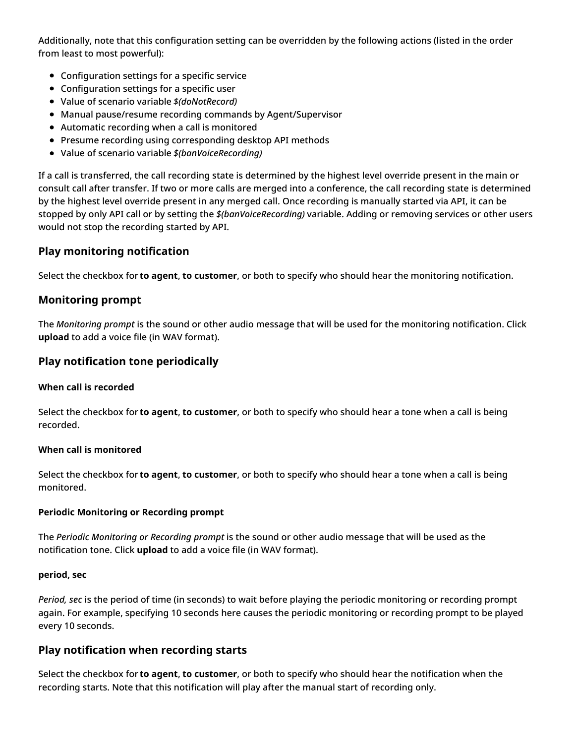Additionally, note that this configuration setting can be overridden by the following actions (listed in the order from least to most powerful):

- Configuration settings for a specific service
- Configuration settings for a specific user
- Value of scenario variable *\$(doNotRecord)*
- Manual pause/resume recording commands by Agent/Supervisor
- Automatic recording when a call is monitored
- Presume recording using corresponding desktop API methods
- Value of scenario variable *\$(banVoiceRecording)*

If a call is transferred, the call recording state is determined by the highest level override present in the main or consult call after transfer. If two or more calls are merged into a conference, the call recording state is determined by the highest level override present in any merged call. Once recording is manually started via API, it can be stopped by only API call or by setting the *\$(banVoiceRecording)* variable. Adding or removing services or other users would not stop the recording started by API.

## <span id="page-13-0"></span>**Play monitoring notification**

Select the checkbox for **to agent**, **to customer**, or both to specify who should hear the monitoring notification.

## <span id="page-13-1"></span>**Monitoring prompt**

The *Monitoring prompt* is the sound or other audio message that will be used for the monitoring notification. Click **upload** to add a voice file (in WAV format).

## <span id="page-13-2"></span>**Play notification tone periodically**

#### <span id="page-13-3"></span>**When call is recorded**

Select the checkbox for **to agent**, **to customer**, or both to specify who should hear a tone when a call is being recorded.

#### <span id="page-13-4"></span>**When call is monitored**

Select the checkbox for **to agent**, **to customer**, or both to specify who should hear a tone when a call is being monitored.

#### <span id="page-13-5"></span>**Periodic Monitoring or Recording prompt**

The *Periodic Monitoring or Recording prompt* is the sound or other audio message that will be used as the notification tone. Click **upload** to add a voice file (in WAV format).

#### <span id="page-13-6"></span>**period, sec**

*Period, sec* is the period of time (in seconds) to wait before playing the periodic monitoring or recording prompt again. For example, specifying 10 seconds here causes the periodic monitoring or recording prompt to be played every 10 seconds.

## <span id="page-13-7"></span>**Play notification when recording starts**

Select the checkbox for **to agent**, **to customer**, or both to specify who should hear the notification when the recording starts. Note that this notification will play after the manual start of recording only.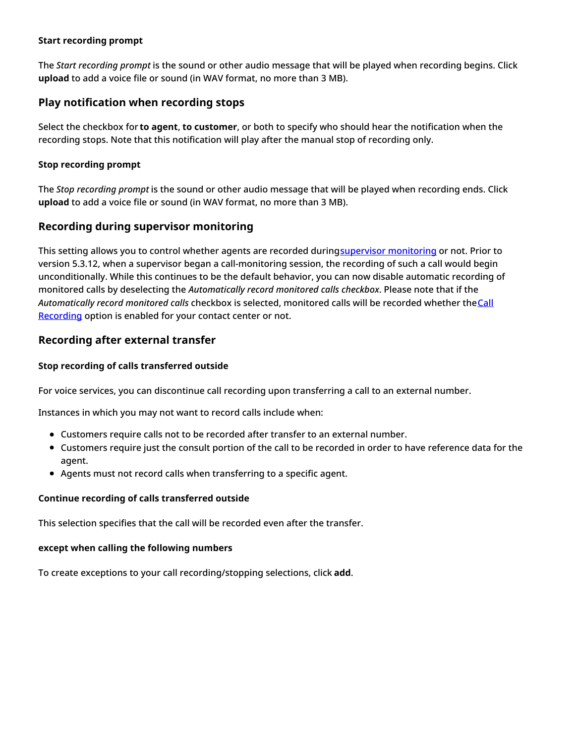#### <span id="page-14-0"></span>**Start recording prompt**

The *Start recording prompt* is the sound or other audio message that will be played when recording begins. Click **upload** to add a voice file or sound (in WAV format, no more than 3 MB).

#### <span id="page-14-1"></span>**Play notification when recording stops**

Select the checkbox for **to agent**, **to customer**, or both to specify who should hear the notification when the recording stops. Note that this notification will play after the manual stop of recording only.

#### <span id="page-14-2"></span>**Stop recording prompt**

The *Stop recording prompt* is the sound or other audio message that will be played when recording ends. Click **upload** to add a voice file or sound (in WAV format, no more than 3 MB).

#### <span id="page-14-3"></span>**Recording during supervisor monitoring**

This setting allows you to control whether agents are recorded duringsupervisor [monitoring](https://help.brightpattern.com/5.8:Contact-center-administrator-guide/QualityManagement/Overview/?action=html-localimages-export#topic_supervisor-guide.2Fcallmonitoring.2Ccoachingandbarge-in) or not. Prior to version 5.3.12, when a supervisor began a call-monitoring session, the recording of such a call would begin unconditionally. While this continues to be the default behavior, you can now disable automatic recording of monitored calls by deselecting the *Automatically record monitored calls checkbox*. Please note that if the [Automatically](https://help.brightpattern.com/5.8:Contact-center-administrator-guide/QualityManagement/Overview/?action=html-localimages-export#Call_Recording) *record monitored calls* checkbox is selected, monitored calls will be recorded whether the Call Recording option is enabled for your contact center or not.

#### <span id="page-14-4"></span>**Recording after external transfer**

#### <span id="page-14-5"></span>**Stop recording of calls transferred outside**

For voice services, you can discontinue call recording upon transferring a call to an external number.

Instances in which you may not want to record calls include when:

- Customers require calls not to be recorded after transfer to an external number.
- Customers require just the consult portion of the call to be recorded in order to have reference data for the agent.
- Agents must not record calls when transferring to a specific agent.

#### <span id="page-14-6"></span>**Continue recording of calls transferred outside**

This selection specifies that the call will be recorded even after the transfer.

## <span id="page-14-7"></span>**except when calling the following numbers**

To create exceptions to your call recording/stopping selections, click **add**.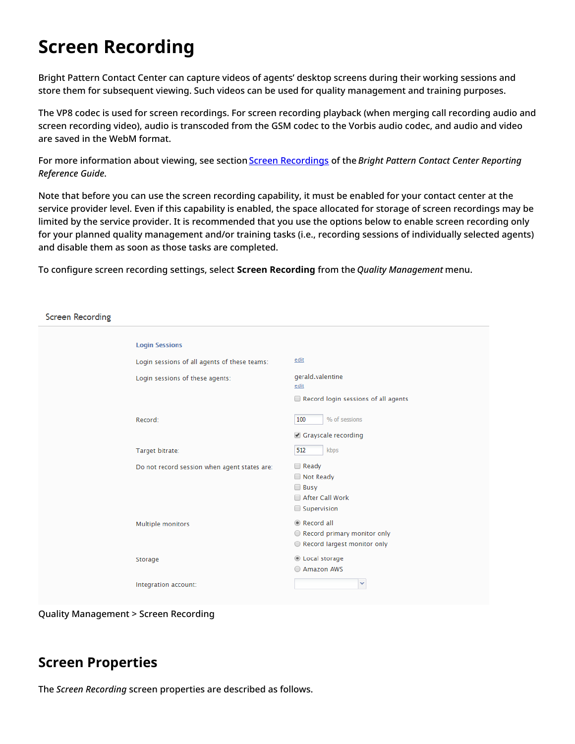# <span id="page-15-0"></span>**Screen Recording**

Bright Pattern Contact Center can capture videos of agents' desktop screens during their working sessions and store them for subsequent viewing. Such videos can be used for quality management and training purposes.

The VP8 codec is used for screen recordings. For screen recording playback (when merging call recording audio and screen recording video), audio is transcoded from the GSM codec to the Vorbis audio codec, and audio and video are saved in the WebM format.

For more information about viewing, see section Screen [Recordings](https://help.brightpattern.com/5.8:Contact-center-administrator-guide/QualityManagement/Overview/?action=html-localimages-export#topic_reporting-reference-guide.2Fscreenrecordings) of the *Bright Pattern Contact Center Reporting Reference Guide*.

Note that before you can use the screen recording capability, it must be enabled for your contact center at the service provider level. Even if this capability is enabled, the space allocated for storage of screen recordings may be limited by the service provider. It is recommended that you use the options below to enable screen recording only for your planned quality management and/or training tasks (i.e., recording sessions of individually selected agents) and disable them as soon as those tasks are completed.

To configure screen recording settings, select **Screen Recording** from the *Quality Management* menu.

**Screen Recording** 

| <b>Login Sessions</b>                        |                                                                              |
|----------------------------------------------|------------------------------------------------------------------------------|
| Login sessions of all agents of these teams: | edit                                                                         |
| Login sessions of these agents:              | gerald.valentine<br>edit                                                     |
|                                              | Record login sessions of all agents                                          |
| Record:                                      | % of sessions<br>100                                                         |
|                                              | Grayscale recording                                                          |
| Target bitrate:                              | kbps<br>512                                                                  |
| Do not record session when agent states are: | $\Box$ Ready<br>Not Ready<br>$\Box$ Busy<br>After Call Work<br>Supervision   |
| Multiple monitors                            | Record all<br>○ Record primary monitor only<br>O Record largest monitor only |
| Storage                                      | Cocal storage<br>Amazon AWS                                                  |
| Integration account:                         | $\mathbf{v}$                                                                 |
|                                              |                                                                              |

Quality Management > Screen Recording

# <span id="page-15-1"></span>**Screen Properties**

The *Screen Recording* screen properties are described as follows.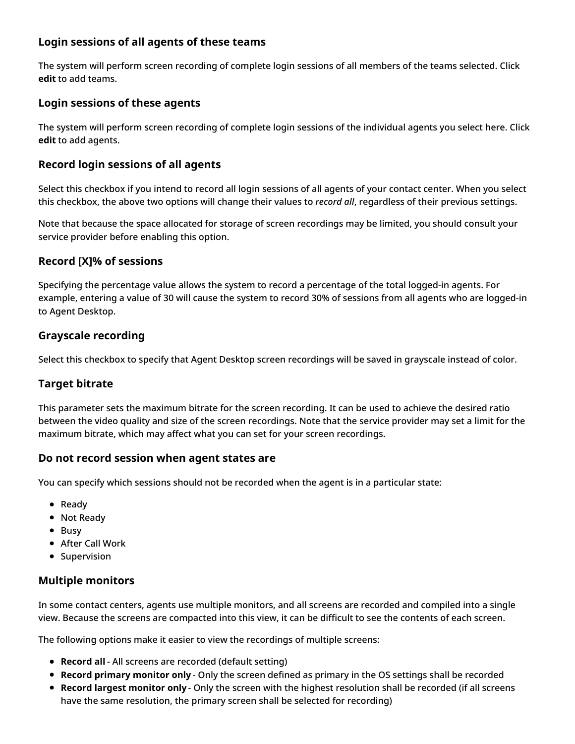# <span id="page-16-0"></span>**Login sessions of all agents of these teams**

The system will perform screen recording of complete login sessions of all members of the teams selected. Click **edit** to add teams.

# <span id="page-16-1"></span>**Login sessions of these agents**

The system will perform screen recording of complete login sessions of the individual agents you select here. Click **edit** to add agents.

# <span id="page-16-2"></span>**Record login sessions of all agents**

Select this checkbox if you intend to record all login sessions of all agents of your contact center. When you select this checkbox, the above two options will change their values to *record all*, regardless of their previous settings.

Note that because the space allocated for storage of screen recordings may be limited, you should consult your service provider before enabling this option.

## <span id="page-16-3"></span>**Record [X]% of sessions**

Specifying the percentage value allows the system to record a percentage of the total logged-in agents. For example, entering a value of 30 will cause the system to record 30% of sessions from all agents who are logged-in to Agent Desktop.

## <span id="page-16-4"></span>**Grayscale recording**

Select this checkbox to specify that Agent Desktop screen recordings will be saved in grayscale instead of color.

## <span id="page-16-5"></span>**Target bitrate**

This parameter sets the maximum bitrate for the screen recording. It can be used to achieve the desired ratio between the video quality and size of the screen recordings. Note that the service provider may set a limit for the maximum bitrate, which may affect what you can set for your screen recordings.

## <span id="page-16-6"></span>**Do not record session when agent states are**

You can specify which sessions should not be recorded when the agent is in a particular state:

- Ready
- Not Ready
- Busy
- After Call Work
- Supervision

## <span id="page-16-7"></span>**Multiple monitors**

In some contact centers, agents use multiple monitors, and all screens are recorded and compiled into a single view. Because the screens are compacted into this view, it can be difficult to see the contents of each screen.

The following options make it easier to view the recordings of multiple screens:

- **Record all** All screens are recorded (default setting)
- **Record primary monitor only** Only the screen defined as primary in the OS settings shall be recorded
- **Record largest monitor only** Only the screen with the highest resolution shall be recorded (if all screens have the same resolution, the primary screen shall be selected for recording)